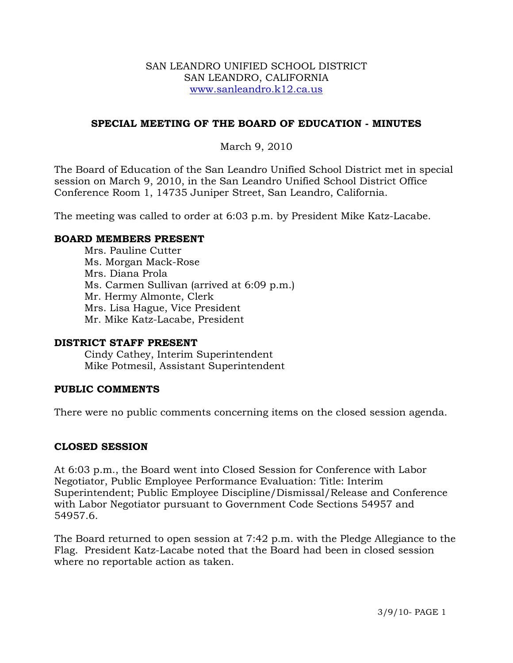#### SAN LEANDRO UNIFIED SCHOOL DISTRICT SAN LEANDRO, CALIFORNIA www.sanleandro.k12.ca.us

## **SPECIAL MEETING OF THE BOARD OF EDUCATION - MINUTES**

# March 9, 2010

The Board of Education of the San Leandro Unified School District met in special session on March 9, 2010, in the San Leandro Unified School District Office Conference Room 1, 14735 Juniper Street, San Leandro, California.

The meeting was called to order at 6:03 p.m. by President Mike Katz-Lacabe.

### **BOARD MEMBERS PRESENT**

Mrs. Pauline Cutter Ms. Morgan Mack-Rose Mrs. Diana Prola Ms. Carmen Sullivan (arrived at 6:09 p.m.) Mr. Hermy Almonte, Clerk Mrs. Lisa Hague, Vice President Mr. Mike Katz-Lacabe, President

#### **DISTRICT STAFF PRESENT**

Cindy Cathey, Interim Superintendent Mike Potmesil, Assistant Superintendent

## **PUBLIC COMMENTS**

There were no public comments concerning items on the closed session agenda.

## **CLOSED SESSION**

At 6:03 p.m., the Board went into Closed Session for Conference with Labor Negotiator, Public Employee Performance Evaluation: Title: Interim Superintendent; Public Employee Discipline/Dismissal/Release and Conference with Labor Negotiator pursuant to Government Code Sections 54957 and 54957.6.

The Board returned to open session at 7:42 p.m. with the Pledge Allegiance to the Flag. President Katz-Lacabe noted that the Board had been in closed session where no reportable action as taken.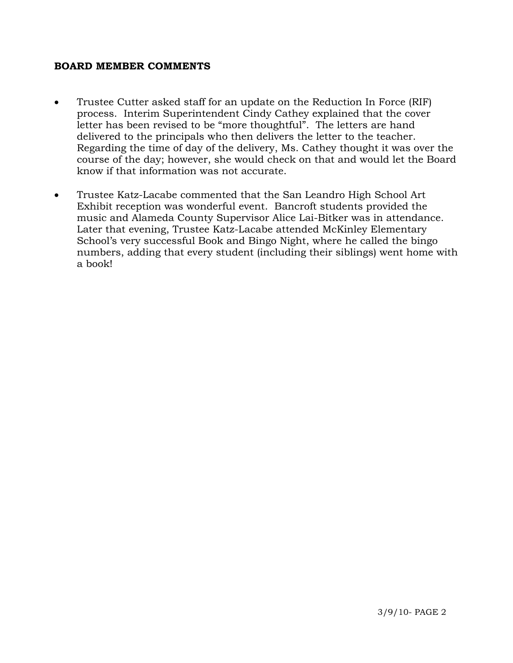#### **BOARD MEMBER COMMENTS**

- Trustee Cutter asked staff for an update on the Reduction In Force (RIF) process. Interim Superintendent Cindy Cathey explained that the cover letter has been revised to be "more thoughtful". The letters are hand delivered to the principals who then delivers the letter to the teacher. Regarding the time of day of the delivery, Ms. Cathey thought it was over the course of the day; however, she would check on that and would let the Board know if that information was not accurate.
- Trustee Katz-Lacabe commented that the San Leandro High School Art Exhibit reception was wonderful event. Bancroft students provided the music and Alameda County Supervisor Alice Lai-Bitker was in attendance. Later that evening, Trustee Katz-Lacabe attended McKinley Elementary School's very successful Book and Bingo Night, where he called the bingo numbers, adding that every student (including their siblings) went home with a book!